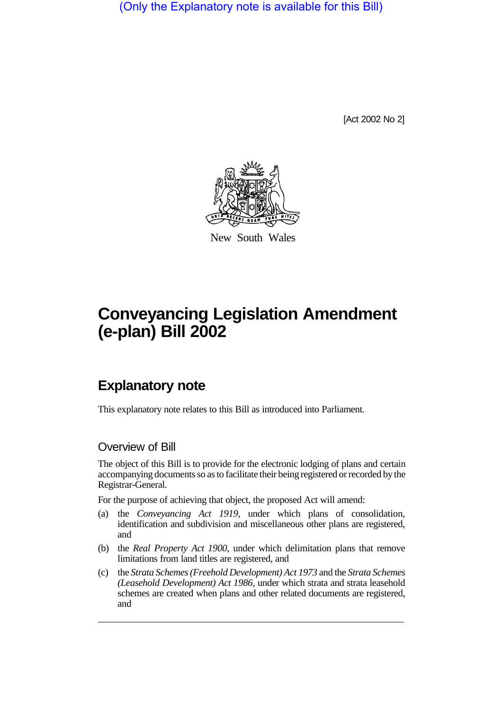(Only the Explanatory note is available for this Bill)

[Act 2002 No 2]



New South Wales

# **Conveyancing Legislation Amendment (e-plan) Bill 2002**

## **Explanatory note**

This explanatory note relates to this Bill as introduced into Parliament.

## Overview of Bill

The object of this Bill is to provide for the electronic lodging of plans and certain accompanying documents so as to facilitate their being registered or recorded by the Registrar-General.

For the purpose of achieving that object, the proposed Act will amend:

- (a) the *Conveyancing Act 1919*, under which plans of consolidation, identification and subdivision and miscellaneous other plans are registered, and
- (b) the *Real Property Act 1900*, under which delimitation plans that remove limitations from land titles are registered, and
- (c) the *Strata Schemes (Freehold Development) Act 1973* and the *Strata Schemes (Leasehold Development) Act 1986*, under which strata and strata leasehold schemes are created when plans and other related documents are registered, and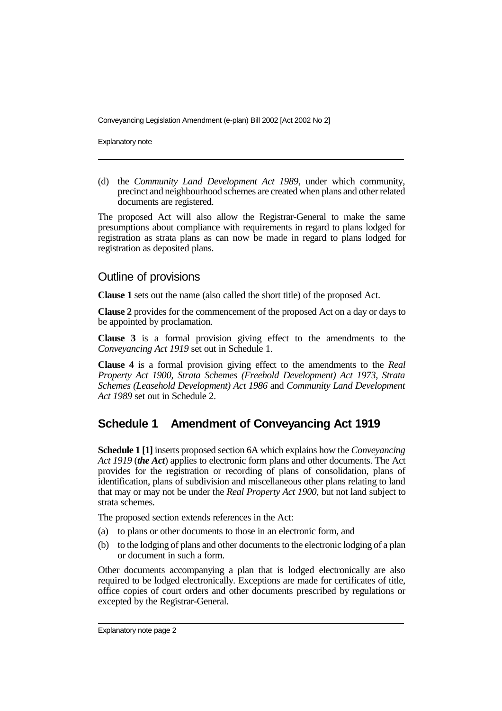Explanatory note

(d) the *Community Land Development Act 1989*, under which community, precinct and neighbourhood schemes are created when plans and other related documents are registered.

The proposed Act will also allow the Registrar-General to make the same presumptions about compliance with requirements in regard to plans lodged for registration as strata plans as can now be made in regard to plans lodged for registration as deposited plans.

### Outline of provisions

**Clause 1** sets out the name (also called the short title) of the proposed Act.

**Clause 2** provides for the commencement of the proposed Act on a day or days to be appointed by proclamation.

**Clause 3** is a formal provision giving effect to the amendments to the *Conveyancing Act 1919* set out in Schedule 1.

**Clause 4** is a formal provision giving effect to the amendments to the *Real Property Act 1900*, *Strata Schemes (Freehold Development) Act 1973*, *Strata Schemes (Leasehold Development) Act 1986* and *Community Land Development Act 1989* set out in Schedule 2.

## **Schedule 1 Amendment of Conveyancing Act 1919**

**Schedule 1 [1]** inserts proposed section 6A which explains how the *Conveyancing Act 1919* (*the Act*) applies to electronic form plans and other documents. The Act provides for the registration or recording of plans of consolidation, plans of identification, plans of subdivision and miscellaneous other plans relating to land that may or may not be under the *Real Property Act 1900*, but not land subject to strata schemes.

The proposed section extends references in the Act:

- (a) to plans or other documents to those in an electronic form, and
- (b) to the lodging of plans and other documents to the electronic lodging of a plan or document in such a form.

Other documents accompanying a plan that is lodged electronically are also required to be lodged electronically. Exceptions are made for certificates of title, office copies of court orders and other documents prescribed by regulations or excepted by the Registrar-General.

Explanatory note page 2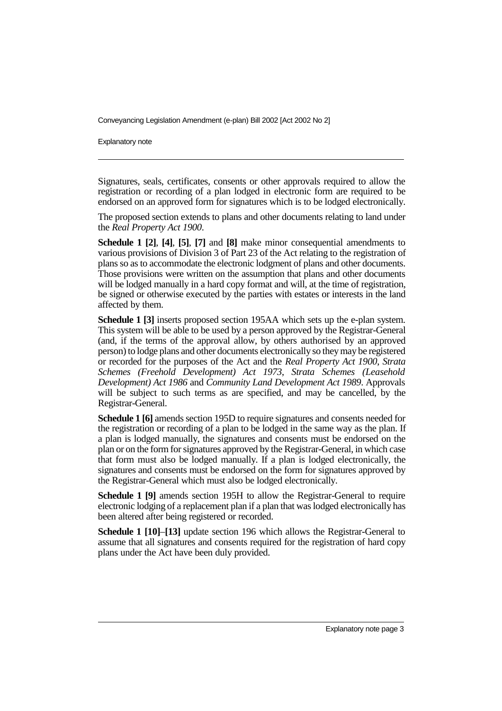Explanatory note

Signatures, seals, certificates, consents or other approvals required to allow the registration or recording of a plan lodged in electronic form are required to be endorsed on an approved form for signatures which is to be lodged electronically.

The proposed section extends to plans and other documents relating to land under the *Real Property Act 1900*.

**Schedule 1 [2]**, **[4]**, **[5]**, **[7]** and **[8]** make minor consequential amendments to various provisions of Division 3 of Part 23 of the Act relating to the registration of plans so as to accommodate the electronic lodgment of plans and other documents. Those provisions were written on the assumption that plans and other documents will be lodged manually in a hard copy format and will, at the time of registration, be signed or otherwise executed by the parties with estates or interests in the land affected by them.

**Schedule 1 [3]** inserts proposed section 195AA which sets up the e-plan system. This system will be able to be used by a person approved by the Registrar-General (and, if the terms of the approval allow, by others authorised by an approved person) to lodge plans and other documents electronically so they may be registered or recorded for the purposes of the Act and the *Real Property Act 1900*, *Strata Schemes (Freehold Development) Act 1973*, *Strata Schemes (Leasehold Development) Act 1986* and *Community Land Development Act 1989*. Approvals will be subject to such terms as are specified, and may be cancelled, by the Registrar-General.

**Schedule 1 [6]** amends section 195D to require signatures and consents needed for the registration or recording of a plan to be lodged in the same way as the plan. If a plan is lodged manually, the signatures and consents must be endorsed on the plan or on the form for signatures approved by the Registrar-General, in which case that form must also be lodged manually. If a plan is lodged electronically, the signatures and consents must be endorsed on the form for signatures approved by the Registrar-General which must also be lodged electronically.

**Schedule 1 [9]** amends section 195H to allow the Registrar-General to require electronic lodging of a replacement plan if a plan that was lodged electronically has been altered after being registered or recorded.

**Schedule 1 [10]**–**[13]** update section 196 which allows the Registrar-General to assume that all signatures and consents required for the registration of hard copy plans under the Act have been duly provided.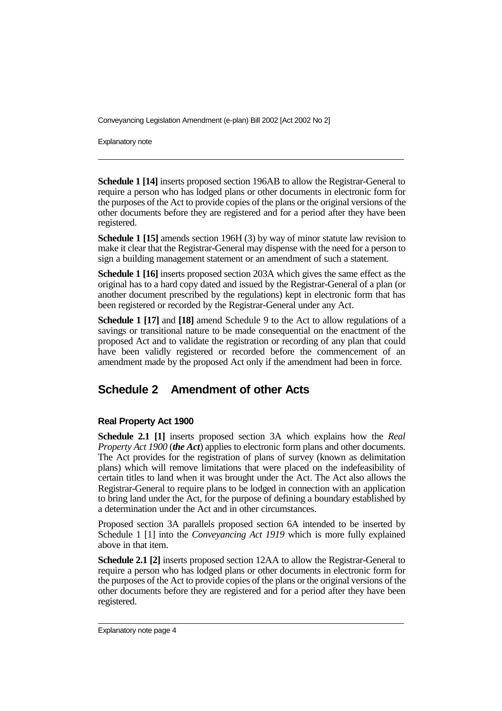Explanatory note

**Schedule 1 [14]** inserts proposed section 196AB to allow the Registrar-General to require a person who has lodged plans or other documents in electronic form for the purposes of the Act to provide copies of the plans or the original versions of the other documents before they are registered and for a period after they have been registered.

**Schedule 1 [15]** amends section 196H (3) by way of minor statute law revision to make it clear that the Registrar-General may dispense with the need for a person to sign a building management statement or an amendment of such a statement.

**Schedule 1 [16]** inserts proposed section 203A which gives the same effect as the original has to a hard copy dated and issued by the Registrar-General of a plan (or another document prescribed by the regulations) kept in electronic form that has been registered or recorded by the Registrar-General under any Act.

**Schedule 1 [17]** and **[18]** amend Schedule 9 to the Act to allow regulations of a savings or transitional nature to be made consequential on the enactment of the proposed Act and to validate the registration or recording of any plan that could have been validly registered or recorded before the commencement of an amendment made by the proposed Act only if the amendment had been in force.

## **Schedule 2 Amendment of other Acts**

#### **Real Property Act 1900**

**Schedule 2.1 [1]** inserts proposed section 3A which explains how the *Real Property Act 1900* (*the Act*) applies to electronic form plans and other documents. The Act provides for the registration of plans of survey (known as delimitation plans) which will remove limitations that were placed on the indefeasibility of certain titles to land when it was brought under the Act. The Act also allows the Registrar-General to require plans to be lodged in connection with an application to bring land under the Act, for the purpose of defining a boundary established by a determination under the Act and in other circumstances.

Proposed section 3A parallels proposed section 6A intended to be inserted by Schedule 1 [1] into the *Conveyancing Act 1919* which is more fully explained above in that item.

**Schedule 2.1 [2]** inserts proposed section 12AA to allow the Registrar-General to require a person who has lodged plans or other documents in electronic form for the purposes of the Act to provide copies of the plans or the original versions of the other documents before they are registered and for a period after they have been registered.

Explanatory note page 4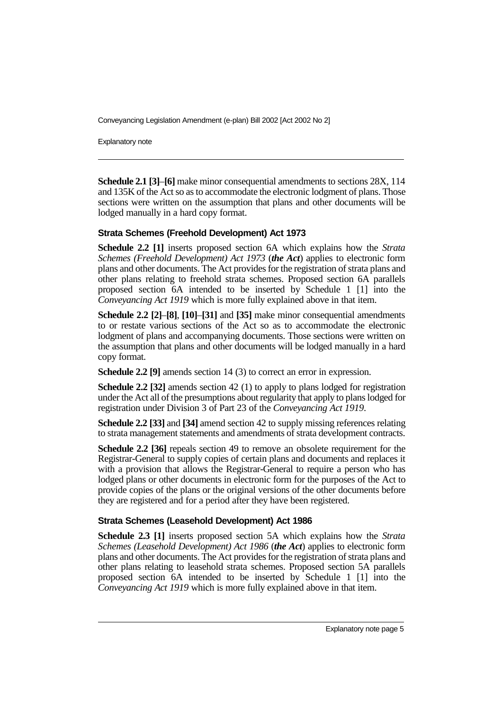Explanatory note

**Schedule 2.1 [3]**–**[6]** make minor consequential amendments to sections 28X, 114 and 135K of the Act so as to accommodate the electronic lodgment of plans. Those sections were written on the assumption that plans and other documents will be lodged manually in a hard copy format.

#### **Strata Schemes (Freehold Development) Act 1973**

**Schedule 2.2 [1]** inserts proposed section 6A which explains how the *Strata Schemes (Freehold Development) Act 1973* (*the Act*) applies to electronic form plans and other documents. The Act provides for the registration of strata plans and other plans relating to freehold strata schemes. Proposed section 6A parallels proposed section 6A intended to be inserted by Schedule 1 [1] into the *Conveyancing Act 1919* which is more fully explained above in that item.

**Schedule 2.2 [2]**–**[8]**, **[10]**–**[31]** and **[35]** make minor consequential amendments to or restate various sections of the Act so as to accommodate the electronic lodgment of plans and accompanying documents. Those sections were written on the assumption that plans and other documents will be lodged manually in a hard copy format.

**Schedule 2.2 [9]** amends section 14 (3) to correct an error in expression.

**Schedule 2.2 [32]** amends section 42 (1) to apply to plans lodged for registration under the Act all of the presumptions about regularity that apply to plans lodged for registration under Division 3 of Part 23 of the *Conveyancing Act 1919*.

**Schedule 2.2 [33]** and **[34]** amend section 42 to supply missing references relating to strata management statements and amendments of strata development contracts.

**Schedule 2.2 [36]** repeals section 49 to remove an obsolete requirement for the Registrar-General to supply copies of certain plans and documents and replaces it with a provision that allows the Registrar-General to require a person who has lodged plans or other documents in electronic form for the purposes of the Act to provide copies of the plans or the original versions of the other documents before they are registered and for a period after they have been registered.

#### **Strata Schemes (Leasehold Development) Act 1986**

**Schedule 2.3 [1]** inserts proposed section 5A which explains how the *Strata Schemes (Leasehold Development) Act 1986* (*the Act*) applies to electronic form plans and other documents. The Act provides for the registration of strata plans and other plans relating to leasehold strata schemes. Proposed section 5A parallels proposed section 6A intended to be inserted by Schedule 1 [1] into the *Conveyancing Act 1919* which is more fully explained above in that item.